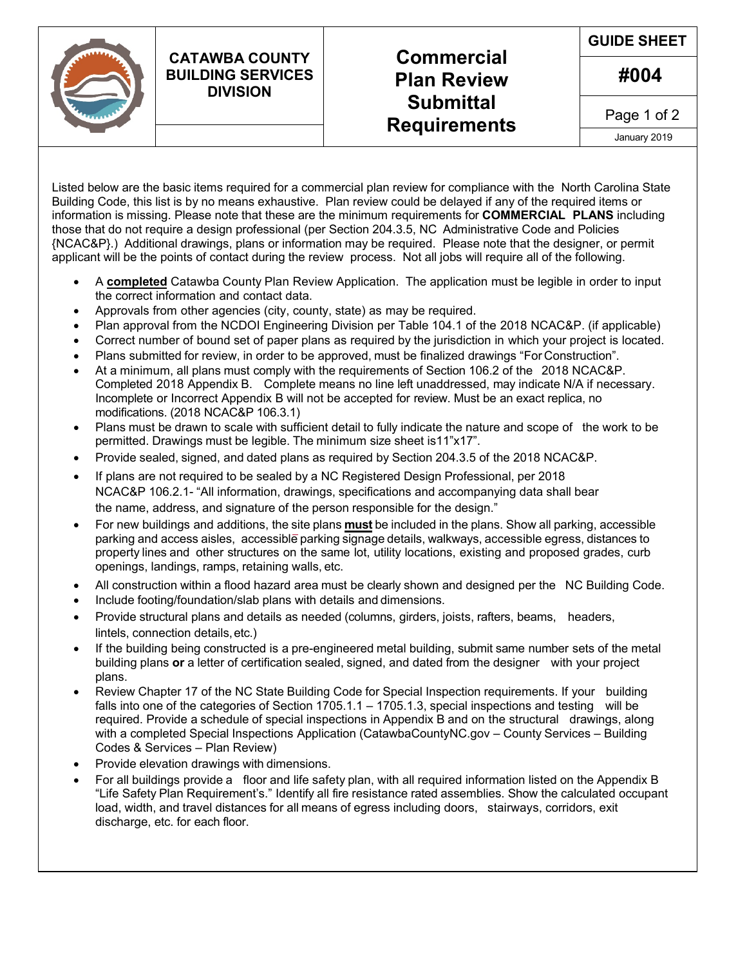## **CATAWBA COUNTY BUILDING SERVICES DIVISION**

## **Commercial Plan Review Submittal Requirements**

**GUIDE SHEET**

**#004**

Page 1 of 2

January 2019

Listed below are the basic items required for a commercial plan review for compliance with the North Carolina State Building Code, this list is by no means exhaustive. Plan review could be delayed if any of the required items or information is missing. Please note that these are the minimum requirements for **COMMERCIAL PLANS** including those that do not require a design professional (per Section 204.3.5, NC Administrative Code and Policies {NCAC&P}.) Additional drawings, plans or information may be required. Please note that the designer, or permit applicant will be the points of contact during the review process. Not all jobs will require all of the following.

- A **completed** Catawba County Plan Review Application. The application must be legible in order to input the correct information and contact data.
- Approvals from other agencies (city, county, state) as may be required.
- Plan approval from the NCDOI Engineering Division per Table 104.1 of the 2018 NCAC&P. (if applicable)
- Correct number of bound set of paper plans as required by the jurisdiction in which your project is located.
- Plans submitted for review, in order to be approved, must be finalized drawings "For Construction".
- At a minimum, all plans must comply with the requirements of Section 106.2 of the 2018 NCAC&P. Completed 2018 Appendix B. Complete means no line left unaddressed, may indicate N/A if necessary. Incomplete or Incorrect Appendix B will not be accepted for review. Must be an exact replica, no modifications. (2018 NCAC&P 106.3.1)
- Plans must be drawn to scale with sufficient detail to fully indicate the nature and scope of the work to be permitted. Drawings must be legible. The minimum size sheet is11"x17".
- Provide sealed, signed, and dated plans as required by Section 204.3.5 of the 2018 NCAC&P.
- If plans are not required to be sealed by a NC Registered Design Professional, per 2018 NCAC&P 106.2.1- "All information, drawings, specifications and accompanying data shall bear the name, address, and signature of the person responsible for the design."
- For new buildings and additions, the site plans **must** be included in the plans. Show all parking, accessible parking and access aisles, accessible parking signage details, walkways, accessible egress, distances to property lines and other structures on the same lot, utility locations, existing and proposed grades, curb openings, landings, ramps, retaining walls, etc.
- All construction within a flood hazard area must be clearly shown and designed per the NC Building Code.
- Include footing/foundation/slab plans with details and dimensions.
- Provide structural plans and details as needed (columns, girders, joists, rafters, beams, headers, lintels, connection details,etc.)
- If the building being constructed is a pre-engineered metal building, submit same number sets of the metal building plans **or** a letter of certification sealed, signed, and dated from the designer with your project plans.
- Review Chapter 17 of the NC State Building Code for Special Inspection requirements. If your building falls into one of the categories of Section 1705.1.1 – 1705.1.3, special inspections and testing will be required. Provide a schedule of special inspections in Appendix B and on the structural drawings, along with a completed Special Inspections Application (CatawbaCountyNC.gov – County Services – Building Codes & Services – Plan Review)
- Provide elevation drawings with dimensions.
- For all buildings provide a floor and life safety plan, with all required information listed on the Appendix B "Life Safety Plan Requirement's." Identify all fire resistance rated assemblies. Show the calculated occupant load, width, and travel distances for all means of egress including doors, stairways, corridors, exit discharge, etc. for each floor.